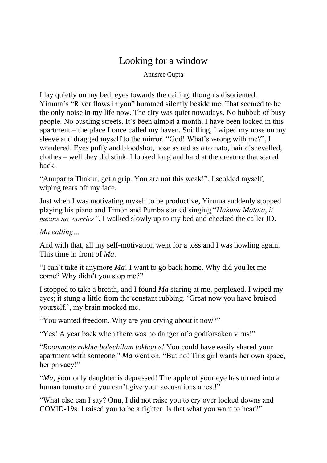## Looking for a window

Anusree Gupta

I lay quietly on my bed, eyes towards the ceiling, thoughts disoriented. Yiruma's "River flows in you" hummed silently beside me. That seemed to be the only noise in my life now. The city was quiet nowadays. No hubbub of busy people. No bustling streets. It's been almost a month. I have been locked in this apartment – the place I once called my haven. Sniffling, I wiped my nose on my sleeve and dragged myself to the mirror. "God! What's wrong with me?", I wondered. Eyes puffy and bloodshot, nose as red as a tomato, hair dishevelled, clothes – well they did stink. I looked long and hard at the creature that stared back.

"Anuparna Thakur, get a grip. You are not this weak!", I scolded myself, wiping tears off my face.

Just when I was motivating myself to be productive, Yiruma suddenly stopped playing his piano and Timon and Pumba started singing "*Hakuna Matata, it means no worries"*. I walked slowly up to my bed and checked the caller ID.

*Ma calling…*

And with that, all my self-motivation went for a toss and I was howling again. This time in front of *Ma*.

"I can't take it anymore *Ma*! I want to go back home. Why did you let me come? Why didn't you stop me?"

I stopped to take a breath, and I found *Ma* staring at me, perplexed. I wiped my eyes; it stung a little from the constant rubbing. 'Great now you have bruised yourself.', my brain mocked me.

"You wanted freedom. Why are you crying about it now?"

"Yes! A year back when there was no danger of a godforsaken virus!"

"*Roommate rakhte bolechilam tokhon e!* You could have easily shared your apartment with someone," *Ma* went on. "But no! This girl wants her own space, her privacy!"

"*Ma*, your only daughter is depressed! The apple of your eye has turned into a human tomato and you can't give your accusations a rest!"

"What else can I say? Onu, I did not raise you to cry over locked downs and COVID-19s. I raised you to be a fighter. Is that what you want to hear?"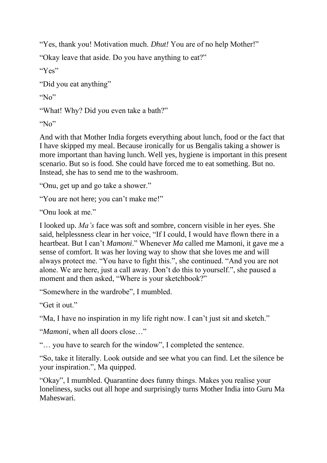"Yes, thank you! Motivation much. *Dhut!* You are of no help Mother!"

"Okay leave that aside. Do you have anything to eat?"

```
"Yes"
```
"Did you eat anything"

 $N_0$ "

"What! Why? Did you even take a bath?"

" $No$ "

And with that Mother India forgets everything about lunch, food or the fact that I have skipped my meal. Because ironically for us Bengalis taking a shower is more important than having lunch. Well yes, hygiene is important in this present scenario. But so is food. She could have forced me to eat something. But no. Instead, she has to send me to the washroom.

"Onu, get up and go take a shower."

"You are not here; you can't make me!"

"Onu look at me."

I looked up. *Ma's* face was soft and sombre, concern visible in her eyes. She said, helplessness clear in her voice, "If I could, I would have flown there in a heartbeat. But I can't *Mamoni*." Whenever *Ma* called me Mamoni, it gave me a sense of comfort. It was her loving way to show that she loves me and will always protect me. "You have to fight this.", she continued. "And you are not alone. We are here, just a call away. Don't do this to yourself.", she paused a moment and then asked, "Where is your sketchbook?"

"Somewhere in the wardrobe", I mumbled.

"Get it out."

"Ma, I have no inspiration in my life right now. I can't just sit and sketch."

"*Mamoni*, when all doors close…"

"… you have to search for the window", I completed the sentence.

"So, take it literally. Look outside and see what you can find. Let the silence be your inspiration.", Ma quipped.

"Okay", I mumbled. Quarantine does funny things. Makes you realise your loneliness, sucks out all hope and surprisingly turns Mother India into Guru Ma Maheswari.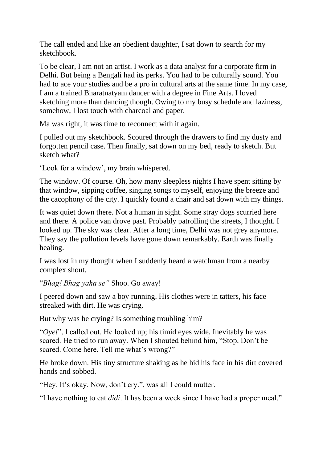The call ended and like an obedient daughter, I sat down to search for my sketchbook.

To be clear, I am not an artist. I work as a data analyst for a corporate firm in Delhi. But being a Bengali had its perks. You had to be culturally sound. You had to ace your studies and be a pro in cultural arts at the same time. In my case, I am a trained Bharatnatyam dancer with a degree in Fine Arts. I loved sketching more than dancing though. Owing to my busy schedule and laziness, somehow, I lost touch with charcoal and paper.

Ma was right, it was time to reconnect with it again.

I pulled out my sketchbook. Scoured through the drawers to find my dusty and forgotten pencil case. Then finally, sat down on my bed, ready to sketch. But sketch what?

'Look for a window', my brain whispered.

The window. Of course. Oh, how many sleepless nights I have spent sitting by that window, sipping coffee, singing songs to myself, enjoying the breeze and the cacophony of the city. I quickly found a chair and sat down with my things.

It was quiet down there. Not a human in sight. Some stray dogs scurried here and there. A police van drove past. Probably patrolling the streets, I thought. I looked up. The sky was clear. After a long time, Delhi was not grey anymore. They say the pollution levels have gone down remarkably. Earth was finally healing.

I was lost in my thought when I suddenly heard a watchman from a nearby complex shout.

"*Bhag! Bhag yaha se"* Shoo. Go away!

I peered down and saw a boy running. His clothes were in tatters, his face streaked with dirt. He was crying.

But why was he crying? Is something troubling him?

"*Oye!*", I called out. He looked up; his timid eyes wide. Inevitably he was scared. He tried to run away. When I shouted behind him, "Stop. Don't be scared. Come here. Tell me what's wrong?"

He broke down. His tiny structure shaking as he hid his face in his dirt covered hands and sobbed.

"Hey. It's okay. Now, don't cry.", was all I could mutter.

"I have nothing to eat *didi*. It has been a week since I have had a proper meal."